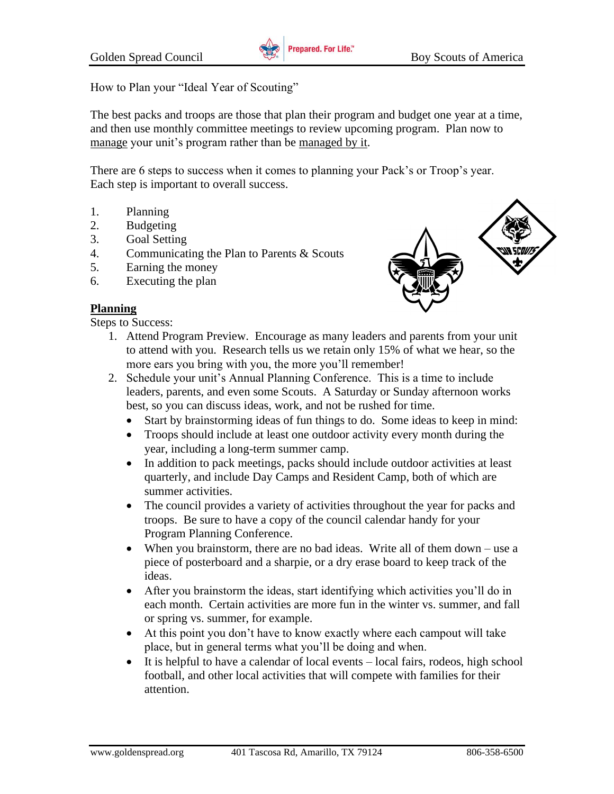

How to Plan your "Ideal Year of Scouting"

The best packs and troops are those that plan their program and budget one year at a time, and then use monthly committee meetings to review upcoming program. Plan now to manage your unit's program rather than be managed by it.

There are 6 steps to success when it comes to planning your Pack's or Troop's year. Each step is important to overall success.

- 1. Planning
- 2. Budgeting
- 3. Goal Setting
- 4. Communicating the Plan to Parents & Scouts
- 5. Earning the money
- 6. Executing the plan



Steps to Success:

- 
- 1. Attend Program Preview. Encourage as many leaders and parents from your unit to attend with you. Research tells us we retain only 15% of what we hear, so the more ears you bring with you, the more you'll remember!
- 2. Schedule your unit's Annual Planning Conference. This is a time to include leaders, parents, and even some Scouts. A Saturday or Sunday afternoon works best, so you can discuss ideas, work, and not be rushed for time.
	- Start by brainstorming ideas of fun things to do. Some ideas to keep in mind:
	- Troops should include at least one outdoor activity every month during the year, including a long-term summer camp.
	- In addition to pack meetings, packs should include outdoor activities at least quarterly, and include Day Camps and Resident Camp, both of which are summer activities.
	- The council provides a variety of activities throughout the year for packs and troops. Be sure to have a copy of the council calendar handy for your Program Planning Conference.
	- When you brainstorm, there are no bad ideas. Write all of them down use a piece of posterboard and a sharpie, or a dry erase board to keep track of the ideas.
	- After you brainstorm the ideas, start identifying which activities you'll do in each month. Certain activities are more fun in the winter vs. summer, and fall or spring vs. summer, for example.
	- At this point you don't have to know exactly where each campout will take place, but in general terms what you'll be doing and when.
	- It is helpful to have a calendar of local events local fairs, rodeos, high school football, and other local activities that will compete with families for their attention.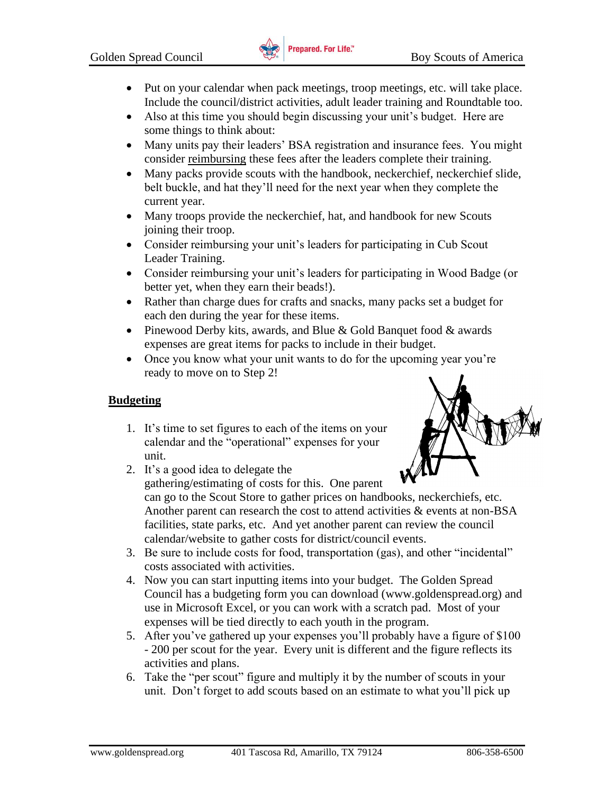

- Put on your calendar when pack meetings, troop meetings, etc. will take place. Include the council/district activities, adult leader training and Roundtable too.
- Also at this time you should begin discussing your unit's budget. Here are some things to think about:
- Many units pay their leaders' BSA registration and insurance fees. You might consider reimbursing these fees after the leaders complete their training.
- Many packs provide scouts with the handbook, neckerchief, neckerchief slide, belt buckle, and hat they'll need for the next year when they complete the current year.
- Many troops provide the neckerchief, hat, and handbook for new Scouts joining their troop.
- Consider reimbursing your unit's leaders for participating in Cub Scout Leader Training.
- Consider reimbursing your unit's leaders for participating in Wood Badge (or better yet, when they earn their beads!).
- Rather than charge dues for crafts and snacks, many packs set a budget for each den during the year for these items.
- Pinewood Derby kits, awards, and Blue  $& Gold Banquet$  food  $&awards$ expenses are great items for packs to include in their budget.
- Once you know what your unit wants to do for the upcoming year you're ready to move on to Step 2!

## **Budgeting**

1. It's time to set figures to each of the items on your calendar and the "operational" expenses for your unit.



2. It's a good idea to delegate the gathering/estimating of costs for this. One parent can go to the Scout Store to gather prices on handbooks, neckerchiefs, etc.

Another parent can research the cost to attend activities & events at non-BSA facilities, state parks, etc. And yet another parent can review the council calendar/website to gather costs for district/council events.

- 3. Be sure to include costs for food, transportation (gas), and other "incidental" costs associated with activities.
- 4. Now you can start inputting items into your budget. The Golden Spread Council has a budgeting form you can download (www.goldenspread.org) and use in Microsoft Excel, or you can work with a scratch pad. Most of your expenses will be tied directly to each youth in the program.
- 5. After you've gathered up your expenses you'll probably have a figure of \$100 - 200 per scout for the year. Every unit is different and the figure reflects its activities and plans.
- 6. Take the "per scout" figure and multiply it by the number of scouts in your unit. Don't forget to add scouts based on an estimate to what you'll pick up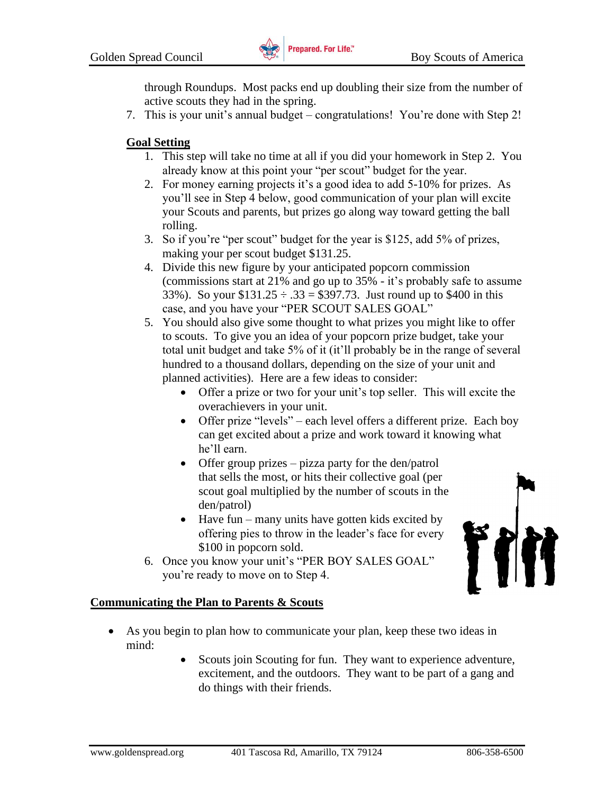

through Roundups. Most packs end up doubling their size from the number of active scouts they had in the spring.

7. This is your unit's annual budget – congratulations! You're done with Step 2!

# **Goal Setting**

- 1. This step will take no time at all if you did your homework in Step 2. You already know at this point your "per scout" budget for the year.
- 2. For money earning projects it's a good idea to add 5-10% for prizes. As you'll see in Step 4 below, good communication of your plan will excite your Scouts and parents, but prizes go along way toward getting the ball rolling.
- 3. So if you're "per scout" budget for the year is \$125, add 5% of prizes, making your per scout budget \$131.25.
- 4. Divide this new figure by your anticipated popcorn commission (commissions start at 21% and go up to 35% - it's probably safe to assume 33%). So your  $$131.25 \div .33 = $397.73$ . Just round up to \$400 in this case, and you have your "PER SCOUT SALES GOAL"
- 5. You should also give some thought to what prizes you might like to offer to scouts. To give you an idea of your popcorn prize budget, take your total unit budget and take 5% of it (it'll probably be in the range of several hundred to a thousand dollars, depending on the size of your unit and planned activities). Here are a few ideas to consider:
	- Offer a prize or two for your unit's top seller. This will excite the overachievers in your unit.
	- Offer prize "levels" each level offers a different prize. Each boy can get excited about a prize and work toward it knowing what he'll earn.
	- Offer group prizes pizza party for the den/patrol that sells the most, or hits their collective goal (per scout goal multiplied by the number of scouts in the den/patrol)
	- Have fun many units have gotten kids excited by offering pies to throw in the leader's face for every \$100 in popcorn sold.
- 6. Once you know your unit's "PER BOY SALES GOAL" you're ready to move on to Step 4.



## **Communicating the Plan to Parents & Scouts**

- As you begin to plan how to communicate your plan, keep these two ideas in mind:
	- Scouts join Scouting for fun. They want to experience adventure, excitement, and the outdoors. They want to be part of a gang and do things with their friends.